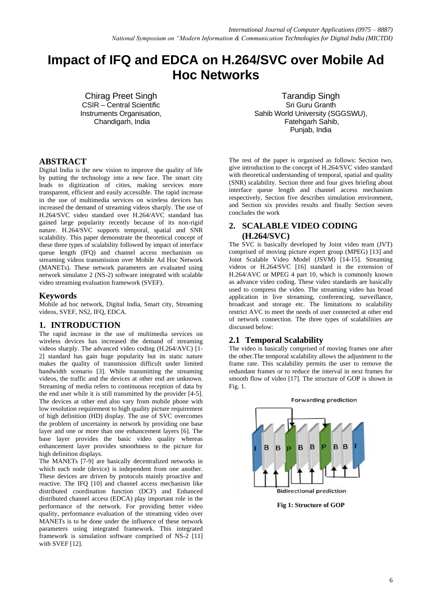# **Impact of IFQ and EDCA on H.264/SVC over Mobile Ad Hoc Networks**

Chirag Preet Singh CSIR – Central Scientific Instruments Organisation, Chandigarh, India

Tarandip Singh Sri Guru Granth Sahib World University (SGGSWU), Fatehgarh Sahib, Punjab, India

## **ABSTRACT**

Digital India is the new vision to improve the quality of life by putting the technology into a new face. The smart city leads to digitization of cities, making services more transparent, efficient and easily accessible. The rapid increase in the use of multimedia services on wireless devices has increased the demand of streaming videos sharply. The use of H.264/SVC video standard over H.264/AVC standard has gained large popularity recently because of its non-rigid nature. H.264/SVC supports temporal, spatial and SNR scalability. This paper demonstrate the theoretical concept of these three types of scalability followed by impact of interface queue length (IFQ) and channel access mechanism on streaming videos transmission over Mobile Ad Hoc Network (MANETs). These network parameters are evaluated using network simulator 2 (NS-2) software integrated with scalable video streaming evaluation framework (SVEF).

#### **Keywords**

Mobile ad hoc network, Digital India, Smart city, Streaming videos, SVEF, NS2, IFQ, EDCA.

## **1. INTRODUCTION**

The rapid increase in the use of multimedia services on wireless devices has increased the demand of streaming videos sharply. The advanced video coding (H.264/AVC) [1- 2] standard has gain huge popularity but its static nature makes the quality of transmission difficult under limited bandwidth scenario [3]. While transmitting the streaming videos, the traffic and the devices at other end are unknown. Streaming of media refers to continuous reception of data by the end user while it is still transmitted by the provider [4-5]. The devices at other end also vary from mobile phone with low resolution requirement to high quality picture requirement of high definition (HD) display. The use of SVC overcomes the problem of uncertainty in network by providing one base layer and one or more than one enhancement layers [6]. The base layer provides the basic video quality whereas enhancement layer provides smoothness to the picture for high definition displays.

The MANETs [7-9] are basically decentralized networks in which each node (device) is independent from one another. These devices are driven by protocols mainly proactive and reactive. The IFQ [10] and channel access mechanism like distributed coordination function (DCF) and Enhanced distributed channel access (EDCA) play important role in the performance of the network. For providing better video quality, performance evaluation of the streaming video over MANETs is to be done under the influence of these network parameters using integrated framework. This integrated framework is simulation software comprised of NS-2 [11] with SVEF [12].

The rest of the paper is organised as follows: Section two, give introduction to the concept of H.264/SVC video standard with theoretical understanding of temporal, spatial and quality (SNR) scalability. Section three and four gives briefing about interface queue length and channel access mechanism respectively, Section five describes simulation environment, and Section six provides results and finally Section seven concludes the work

# **2. SCALABLE VIDEO CODING (H.264/SVC)**

The SVC is basically developed by Joint video team (JVT) comprised of moving picture expert group (MPEG) [13] and Joint Scalable Video Model (JSVM) [14-15]. Streaming videos or H.264/SVC [16] standard is the extension of H.264/AVC or MPEG 4 part 10, which is commonly known as advance video coding. These video standards are basically used to compress the video. The streaming video has broad application in live streaming, conferencing, surveillance, broadcast and storage etc. The limitations to scalability restrict AVC to meet the needs of user connected at other end of network connection. The three types of scalabilities are discussed below:

## **2.1 Temporal Scalability**

The video is basically comprised of moving frames one after the other.The temporal scalability allows the adjustment to the frame rate. This scalability permits the user to remove the redundant frames or to reduce the interval in next frames for smooth flow of video [17]. The structure of GOP is shown in Fig. 1.



**Fig 1: Structure of GOP**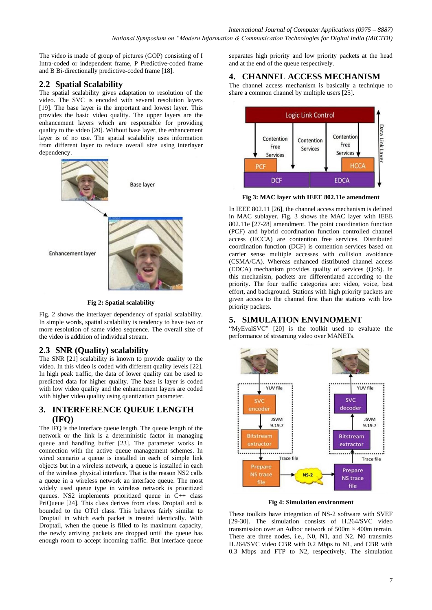The video is made of group of pictures (GOP) consisting of I Intra-coded or independent frame, P Predictive-coded frame and B Bi-directionally predictive-coded frame [18].

# **2.2 Spatial Scalability**

The spatial scalability gives adaptation to resolution of the video. The SVC is encoded with several resolution layers [19]. The base layer is the important and lowest layer. This provides the basic video quality. The upper layers are the enhancement layers which are responsible for providing quality to the video [20]. Without base layer, the enhancement layer is of no use. The spatial scalability uses information from different layer to reduce overall size using interlayer dependency.



**Fig 2: Spatial scalability**

Fig. 2 shows the interlayer dependency of spatial scalability. In simple words, spatial scalability is tendency to have two or more resolution of same video sequence. The overall size of the video is addition of individual stream.

# **2.3 SNR (Quality) scalability**

The SNR [21] scalability is known to provide quality to the video. In this video is coded with different quality levels [22]. In high peak traffic, the data of lower quality can be used to predicted data for higher quality. The base is layer is coded with low video quality and the enhancement layers are coded with higher video quality using quantization parameter.

# **3. INTERFERENCE QUEUE LENGTH (IFQ)**

The IFQ is the interface queue length. The queue length of the network or the link is a deterministic factor in managing queue and handling buffer [23]. The parameter works in connection with the active queue management schemes. In wired scenario a queue is installed in each of simple link objects but in a wireless network, a queue is installed in each of the wireless physical interface. That is the reason NS2 calls a queue in a wireless network an interface queue. The most widely used queue type in wireless network is prioritized queues. NS2 implements prioritized queue in C++ class PriQueue [24]. This class derives from class Droptail and is bounded to the OTcl class. This behaves fairly similar to Droptail in which each packet is treated identically. With Droptail, when the queue is filled to its maximum capacity, the newly arriving packets are dropped until the queue has enough room to accept incoming traffic. But interface queue

separates high priority and low priority packets at the head and at the end of the queue respectively.

# **4. CHANNEL ACCESS MECHANISM**

The channel access mechanism is basically a technique to share a common channel by multiple users [25].



**Fig 3: MAC layer with IEEE 802.11e amendment**

In IEEE 802.11 [26], the channel access mechanism is defined in MAC sublayer. Fig. 3 shows the MAC layer with IEEE 802.11e [27-28] amendment. The point coordination function (PCF) and hybrid coordination function controlled channel access (HCCA) are contention free services. Distributed coordination function (DCF) is contention services based on carrier sense multiple accesses with collision avoidance (CSMA/CA). Whereas enhanced distributed channel access (EDCA) mechanism provides quality of services (QoS). In this mechanism, packets are differentiated according to the priority. The four traffic categories are: video, voice, best effort, and background. Stations with high priority packets are given access to the channel first than the stations with low priority packets.

## **5. SIMULATION ENVINOMENT**

"MyEvalSVC" [20] is the toolkit used to evaluate the performance of streaming video over MANETs.



**Fig 4: Simulation environment**

These toolkits have integration of NS-2 software with SVEF [29-30]. The simulation consists of H.264/SVC video transmission over an Adhoc network of  $500m \times 400m$  terrain. There are three nodes, i.e., N0, N1, and N2. N0 transmits H.264/SVC video CBR with 0.2 Mbps to N1, and CBR with 0.3 Mbps and FTP to N2, respectively. The simulation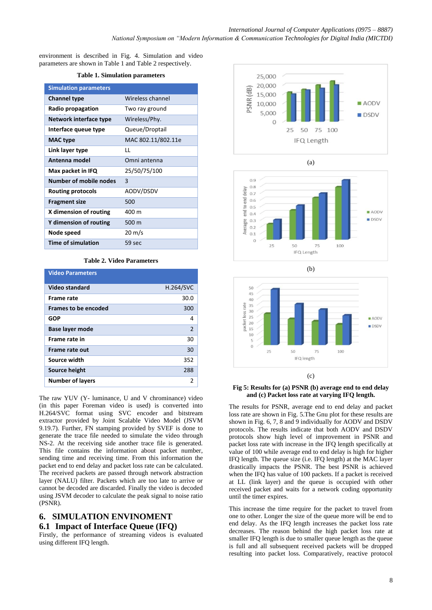environment is described in Fig. 4. Simulation and video parameters are shown in Table 1 and Table 2 respectively.

#### **Table 1. Simulation parameters**

| <b>Simulation parameters</b> |                    |
|------------------------------|--------------------|
| <b>Channel type</b>          | Wireless channel   |
| Radio propagation            | Two ray ground     |
| Network interface type       | Wireless/Phy.      |
| Interface queue type         | Queue/Droptail     |
| <b>MAC</b> type              | MAC 802.11/802.11e |
| Link layer type              | LL                 |
| Antenna model                | Omni antenna       |
| Max packet in IFQ            | 25/50/75/100       |
| Number of mobile nodes       | 3                  |
| Routing protocols            | AODV/DSDV          |
| <b>Fragment size</b>         | 500                |
| X dimension of routing       | 400 m              |
| Y dimension of routing       | 500 m              |
| Node speed                   | $20 \text{ m/s}$   |
| <b>Time of simulation</b>    | 59 sec             |

#### **Table 2. Video Parameters**

| <b>Video Parameters</b>     |                  |
|-----------------------------|------------------|
| Video standard              | <b>H.264/SVC</b> |
| <b>Frame rate</b>           | 30.0             |
| <b>Frames to be encoded</b> | 300              |
| <b>GOP</b>                  | 4                |
| <b>Base layer mode</b>      | $\mathcal{P}$    |
| Frame rate in               | 30               |
| Frame rate out              | 30               |
| Source width                | 352              |
| Source height               | 288              |
| <b>Number of layers</b>     | 2                |

The raw YUV (Y- luminance, U and V chrominance) video (in this paper Foreman video is used) is converted into H.264/SVC format using SVC encoder and bitstream extractor provided by Joint Scalable Video Model (JSVM 9.19.7). Further, FN stamping provided by SVEF is done to generate the trace file needed to simulate the video through NS-2. At the receiving side another trace file is generated. This file contains the information about packet number, sending time and receiving time. From this information the packet end to end delay and packet loss rate can be calculated. The received packets are passed through network abstraction layer (NALU) filter. Packets which are too late to arrive or cannot be decoded are discarded. Finally the video is decoded using JSVM decoder to calculate the peak signal to noise ratio (PSNR).

# **6. SIMULATION ENVINOMENT 6.1 Impact of Interface Queue (IFQ)**

Firstly, the performance of streaming videos is evaluated using different IFQ length.









#### **Fig 5: Results for (a) PSNR (b) average end to end delay and (c) Packet loss rate at varying IFQ length.**

The results for PSNR, average end to end delay and packet loss rate are shown in Fig. 5.The Gnu plot for these results are shown in Fig. 6, 7, 8 and 9 individually for AODV and DSDV protocols. The results indicate that both AODV and DSDV protocols show high level of improvement in PSNR and packet loss rate with increase in the IFQ length specifically at value of 100 while average end to end delay is high for higher IFQ length. The queue size (i.e. IFQ length) at the MAC layer drastically impacts the PSNR. The best PSNR is achieved when the IFQ has value of 100 packets. If a packet is received at LL (link layer) and the queue is occupied with other received packet and waits for a network coding opportunity until the timer expires.

This increase the time require for the packet to travel from one to other. Longer the size of the queue more will be end to end delay. As the IFQ length increases the packet loss rate decreases. The reason behind the high packet loss rate at smaller IFQ length is due to smaller queue length as the queue is full and all subsequent received packets will be dropped resulting into packet loss. Comparatively, reactive protocol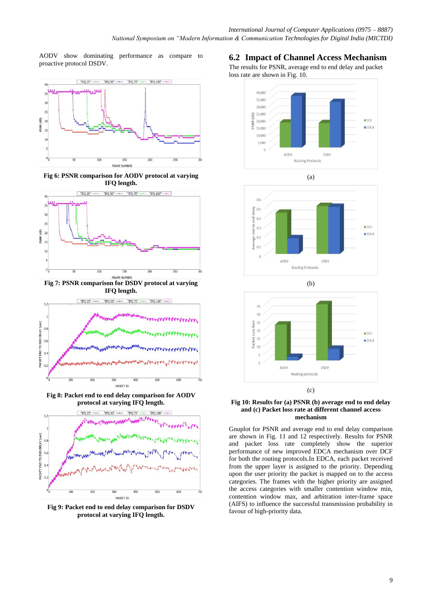AODV show dominating performance as compare to proactive protocol DSDV.



**Fig 6: PSNR comparison for AODV protocol at varying IFQ length.**



**Fig 7: PSNR comparison for DSDV protocol at varying IFQ length.**



**Fig 8: Packet end to end delay comparison for AODV protocol at varying IFQ length.**



**Fig 9: Packet end to end delay comparison for DSDV protocol at varying IFQ length.**

## **6.2 Impact of Channel Access Mechanism**

The results for PSNR, average end to end delay and packet loss rate are shown in Fig. 10.







#### **Fig 10: Results for (a) PSNR (b) average end to end delay and (c) Packet loss rate at different channel access mechanism**

Gnuplot for PSNR and average end to end delay comparison are shown in Fig. 11 and 12 respectively. Results for PSNR and packet loss rate completely show the superior performance of new improved EDCA mechanism over DCF for both the routing protocols.In EDCA, each packet received from the upper layer is assigned to the priority. Depending upon the user priority the packet is mapped on to the access categories. The frames with the higher priority are assigned the access categories with smaller contention window min, contention window max, and arbitration inter-frame space (AIFS) to influence the successful transmission probability in favour of high-priority data.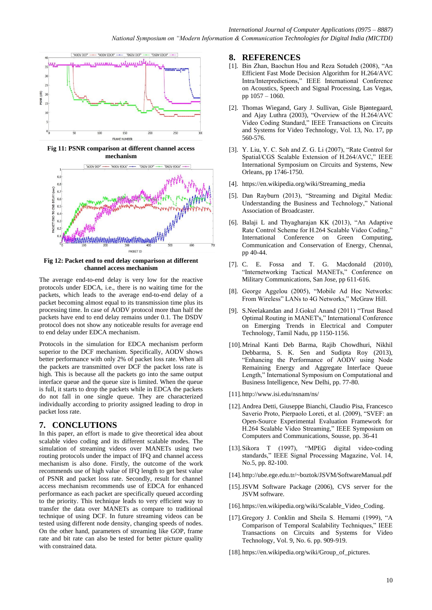

**Fig 11: PSNR comparison at different channel access mechanism**



**Fig 12: Packet end to end delay comparison at different channel access mechanism**

The average end-to-end delay is very low for the reactive protocols under EDCA, i.e., there is no waiting time for the packets, which leads to the average end-to-end delay of a packet becoming almost equal to its transmission time plus its processing time. In case of AODV protocol more than half the packets have end to end delay remains under 0.1. The DSDV protocol does not show any noticeable results for average end to end delay under EDCA mechanism.

Protocols in the simulation for EDCA mechanism perform superior to the DCF mechanism. Specifically, AODV shows better performance with only 2% of packet loss rate. When all the packets are transmitted over DCF the packet loss rate is high. This is because all the packets go into the same output interface queue and the queue size is limited. When the queue is full, it starts to drop the packets while in EDCA the packets do not fall in one single queue. They are characterized individually according to priority assigned leading to drop in packet loss rate.

# **7. CONCLUTIONS**

In this paper, an effort is made to give theoretical idea about scalable video coding and its different scalable modes. The simulation of streaming videos over MANETs using two routing protocols under the impact of IFQ and channel access mechanism is also done. Firstly, the outcome of the work recommends use of high value of IFQ length to get best value of PSNR and packet loss rate. Secondly, result for channel access mechanism recommends use of EDCA for enhanced performance as each packet are specifically queued according to the priority. This technique leads to very efficient way to transfer the data over MANETs as compare to traditional technique of using DCF. In future streaming videos can be tested using different node density, changing speeds of nodes. On the other hand, parameters of streaming like GOP, frame rate and bit rate can also be tested for better picture quality with constrained data.

## **8. REFERENCES**

- [1]. Bin Zhan, Baochun Hou and Reza Sotudeh (2008), "An Efficient Fast Mode Decision Algorithm for H.264/AVC Intra/Interpredictions," IEEE International Conference on Acoustics, Speech and Signal Processing, Las Vegas, pp 1057 – 1060.
- [2]. Thomas Wiegand, Gary J. Sullivan, Gisle Bjøntegaard, and Ajay Luthra (2003), "Overview of the H.264/AVC Video Coding Standard," IEEE Transactions on Circuits and Systems for Video Technology, Vol. 13, No. 17, pp 560-576.
- [3]. Y. Liu, Y. C. Soh and Z. G. Li (2007), "Rate Control for Spatial/CGS Scalable Extension of H.264/AVC," IEEE International Symposium on Circuits and Systems, New Orleans, pp 1746-1750.
- [4]. [https://en.wikipedia.org/wiki/Streaming\\_media](https://en.wikipedia.org/wiki/Streaming_media)
- [5]. Dan Rayburn (2013), "Streaming and Digital Media: Understanding the Business and Technology," National Association of Broadcaster.
- [6]. Balaji L and Thyagharajan KK (2013), "An Adaptive Rate Control Scheme for H.264 Scalable Video Coding," International Conference on Green Computing, Communication and Conservation of Energy, Chennai, pp 40-44.
- [7]. C. E. Fossa and T. G. Macdonald (2010), "Internetworking Tactical MANETs," Conference on Military Communications, San Jose, pp 611-616.
- [8]. George Aggelou (2005), "Mobile Ad Hoc Networks: From Wireless" LANs to 4G Networks," McGraw Hill.
- [9]. S.Neelakandan and J.Gokul Anand (2011) "Trust Based Optimal Routing in MANET's," International Conference on Emerging Trends in Electrical and Computer Technology, Tamil Nadu, pp 1150-1156.
- [10].Mrinal Kanti Deb Barma, Rajib Chowdhuri, Nikhil Debbarma, S. K. Sen and Sudipta Roy (2013), "Enhancing the Performance of AODV using Node Remaining Energy and Aggregate Interface Queue Length," International Symposium on Computational and Business Intelligence, New Delhi, pp. 77-80.
- [11][.http://www.isi.edu/nsnam/ns/](http://www.isi.edu/nsnam/ns/)
- [12].Andrea Detti, Giuseppe Bianchi, Claudio Pisa, Francesco Saverio Proto, Pierpaolo Loreti, et al. (2009), "SVEF: an Open-Source Experimental Evaluation Framework for H.264 Scalable Video Streaming," IEEE Symposium on Computers and Communications, Sousse, pp. 36-41
- [13].Sikora T (1997), "MPEG digital video-coding standards," IEEE Signal Processing Magazine, Vol. 14, No.5, pp. 82-100.
- [14][.http://ube.ege.edu.tr/~boztok/JSVM/SoftwareManual.pdf](http://ube.ege.edu.tr/~boztok/JSVM/SoftwareManual.pdf)
- [15].JSVM Software Package (2006), CVS server for the JSVM software.
- [16][.https://en.wikipedia.org/wiki/Scalable\\_Video\\_Coding.](https://en.wikipedia.org/wiki/Scalable_Video_Coding)
- [17].Gregory J. Conklin and Sheila S. Hemami (1999), "A Comparison of Temporal Scalability Techniques," IEEE Transactions on Circuits and Systems for Video Technology, Vol. 9, No. 6. pp. 909-919.
- [18][.https://en.wikipedia.org/wiki/Group\\_of\\_pictures.](https://en.wikipedia.org/wiki/Group_of_pictures)